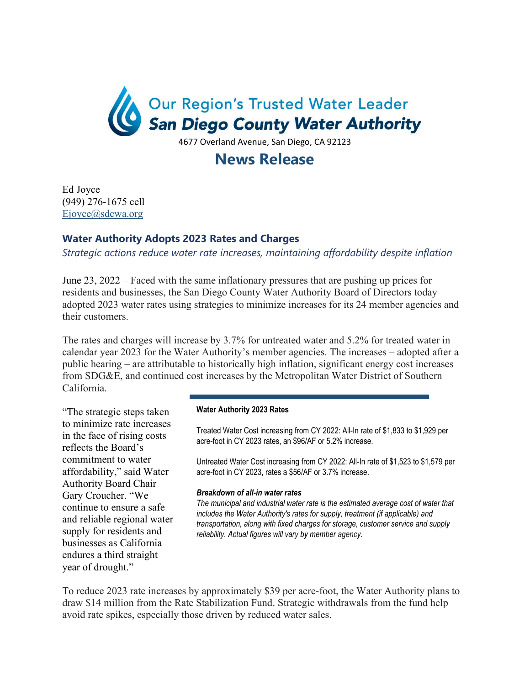

4677 Overland Avenue, San Diego, CA 92123

## **News Release**

Ed Joyce (949) 276-1675 cell Ejoyce@sdcwa.org

## **Water Authority Adopts 2023 Rates and Charges**

*Strategic actions reduce water rate increases, maintaining affordability despite inflation*

June 23, 2022 – Faced with the same inflationary pressures that are pushing up prices for residents and businesses, the San Diego County Water Authority Board of Directors today adopted 2023 water rates using strategies to minimize increases for its 24 member agencies and their customers.

The rates and charges will increase by 3.7% for untreated water and 5.2% for treated water in calendar year 2023 for the Water Authority's member agencies. The increases – adopted after a public hearing – are attributable to historically high inflation, significant energy cost increases from SDG&E, and continued cost increases by the Metropolitan Water District of Southern California.

"The strategic steps taken to minimize rate increases in the face of rising costs reflects the Board's commitment to water affordability," said Water Authority Board Chair Gary Croucher. "We continue to ensure a safe and reliable regional water supply for residents and businesses as California endures a third straight year of drought."

## **Water Authority 2023 Rates**

Treated Water Cost increasing from CY 2022: All-In rate of \$1,833 to \$1,929 per acre-foot in CY 2023 rates, an \$96/AF or 5.2% increase.

Untreated Water Cost increasing from CY 2022: All-In rate of \$1,523 to \$1,579 per acre-foot in CY 2023, rates a \$56/AF or 3.7% increase.

## *Breakdown of all-in water rates*

*The municipal and industrial water rate is the estimated average cost of water that includes the Water Authority's rates for supply, treatment (if applicable) and transportation, along with fixed charges for storage, customer service and supply reliability. Actual figures will vary by member agency.* 

To reduce 2023 rate increases by approximately \$39 per acre-foot, the Water Authority plans to draw \$14 million from the Rate Stabilization Fund. Strategic withdrawals from the fund help avoid rate spikes, especially those driven by reduced water sales.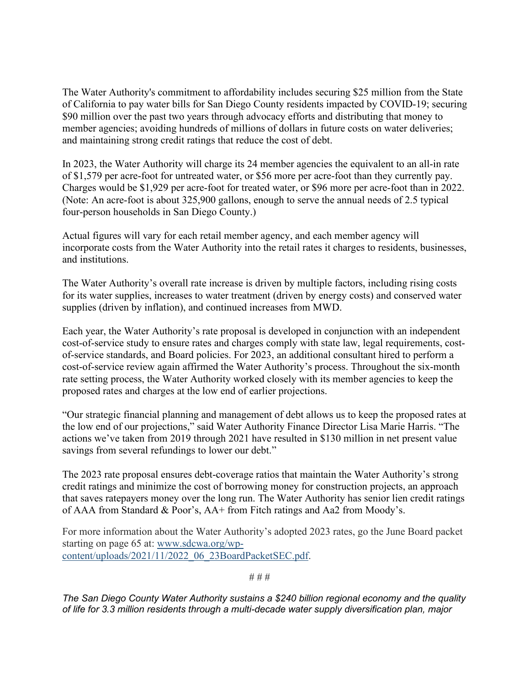The Water Authority's commitment to affordability includes securing \$25 million from the State of California to pay water bills for San Diego County residents impacted by COVID-19; securing \$90 million over the past two years through advocacy efforts and distributing that money to member agencies; avoiding hundreds of millions of dollars in future costs on water deliveries; and maintaining strong credit ratings that reduce the cost of debt.

In 2023, the Water Authority will charge its 24 member agencies the equivalent to an all-in rate of \$1,579 per acre-foot for untreated water, or \$56 more per acre-foot than they currently pay. Charges would be \$1,929 per acre-foot for treated water, or \$96 more per acre-foot than in 2022. (Note: An acre-foot is about 325,900 gallons, enough to serve the annual needs of 2.5 typical four-person households in San Diego County.)

Actual figures will vary for each retail member agency, and each member agency will incorporate costs from the Water Authority into the retail rates it charges to residents, businesses, and institutions.

The Water Authority's overall rate increase is driven by multiple factors, including rising costs for its water supplies, increases to water treatment (driven by energy costs) and conserved water supplies (driven by inflation), and continued increases from MWD.

Each year, the Water Authority's rate proposal is developed in conjunction with an independent cost-of-service study to ensure rates and charges comply with state law, legal requirements, costof-service standards, and Board policies. For 2023, an additional consultant hired to perform a cost-of-service review again affirmed the Water Authority's process. Throughout the six-month rate setting process, the Water Authority worked closely with its member agencies to keep the proposed rates and charges at the low end of earlier projections.

"Our strategic financial planning and management of debt allows us to keep the proposed rates at the low end of our projections," said Water Authority Finance Director Lisa Marie Harris. "The actions we've taken from 2019 through 2021 have resulted in \$130 million in net present value savings from several refundings to lower our debt."

The 2023 rate proposal ensures debt-coverage ratios that maintain the Water Authority's strong credit ratings and minimize the cost of borrowing money for construction projects, an approach that saves ratepayers money over the long run. The Water Authority has senior lien credit ratings of AAA from Standard & Poor's, AA+ from Fitch ratings and Aa2 from Moody's.

For more information about the Water Authority's adopted 2023 rates, go the June Board packet starting on page 65 at: www.sdcwa.org/wpcontent/uploads/2021/11/2022\_06\_23BoardPacketSEC.pdf.

# # #

*The San Diego County Water Authority sustains a \$240 billion regional economy and the quality of life for 3.3 million residents through a multi-decade water supply diversification plan, major*